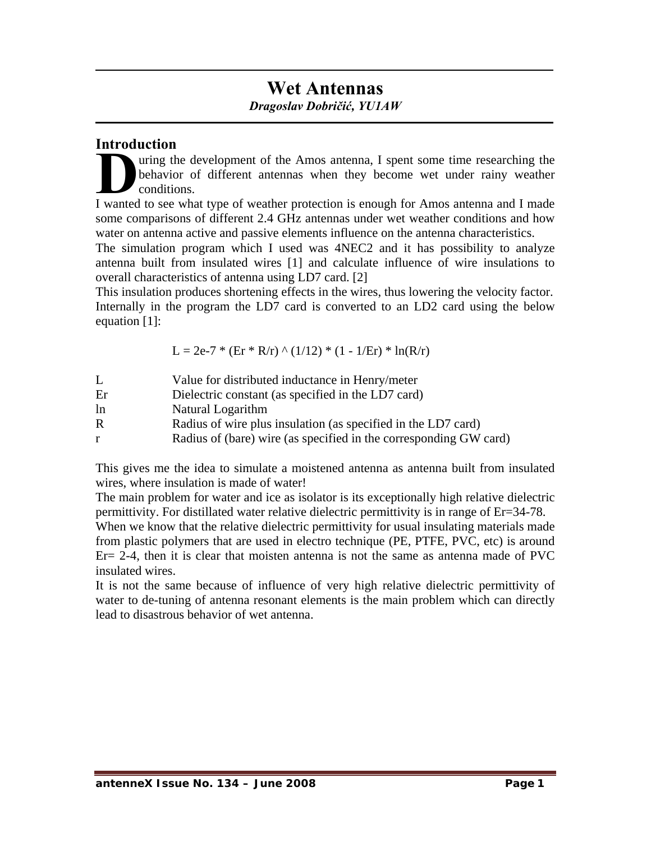# **Wet Antennas**  *Dragoslav Dobričić, YU1AW*

### **Introduction**

uring the development of the Amos antenna, I spent some time researching the behavior of different antennas when they become wet under rainy weather conditions. I wanted to see what type of weather protection is enough for Amos antenna and I made I wanted to see what type of weather protection is enough for Amos antenna and I made

some comparisons of different 2.4 GHz antennas under wet weather conditions and how water on antenna active and passive elements influence on the antenna characteristics.

The simulation program which I used was 4NEC2 and it has possibility to analyze antenna built from insulated wires [1] and calculate influence of wire insulations to overall characteristics of antenna using LD7 card. [2]

This insulation produces shortening effects in the wires, thus lowering the velocity factor. Internally in the program the LD7 card is converted to an LD2 card using the below equation [1]:

 $L = 2e-7 * (Er * R/r) \wedge (1/12) * (1 - 1/Er) * ln(R/r)$ 

| L  | Value for distributed inductance in Henry/meter                   |
|----|-------------------------------------------------------------------|
| Er | Dielectric constant (as specified in the LD7 card)                |
| ln | Natural Logarithm                                                 |
| R  | Radius of wire plus insulation (as specified in the LD7 card)     |
| r  | Radius of (bare) wire (as specified in the corresponding GW card) |

This gives me the idea to simulate a moistened antenna as antenna built from insulated wires, where insulation is made of water!

The main problem for water and ice as isolator is its exceptionally high relative dielectric permittivity. For distillated water relative dielectric permittivity is in range of Er=34-78.

When we know that the relative dielectric permittivity for usual insulating materials made from plastic polymers that are used in electro technique (PE, PTFE, PVC, etc) is around  $Er= 2-4$ , then it is clear that moisten antenna is not the same as antenna made of PVC insulated wires.

It is not the same because of influence of very high relative dielectric permittivity of water to de-tuning of antenna resonant elements is the main problem which can directly lead to disastrous behavior of wet antenna.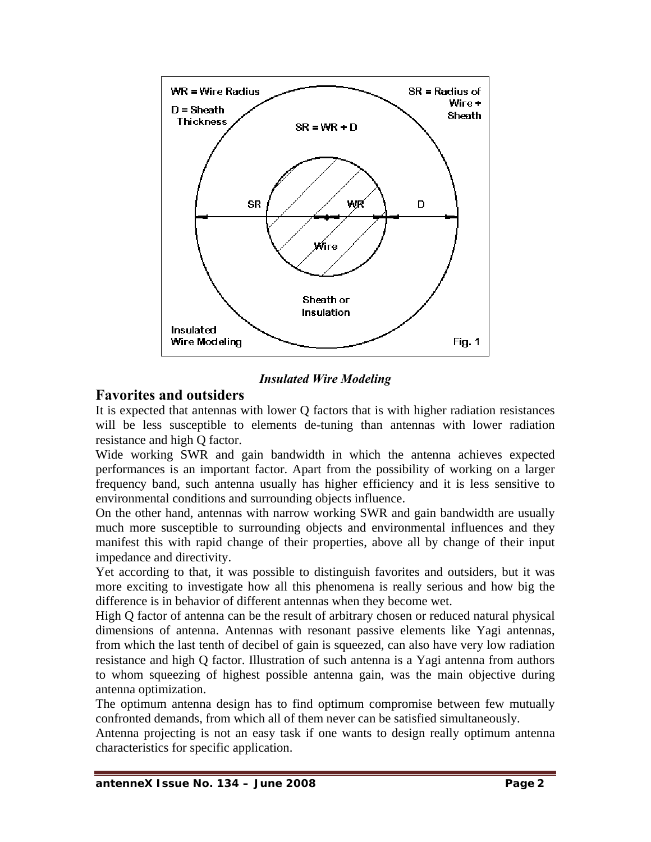

#### *Insulated Wire Modeling*

### **Favorites and outsiders**

It is expected that antennas with lower Q factors that is with higher radiation resistances will be less susceptible to elements de-tuning than antennas with lower radiation resistance and high Q factor.

Wide working SWR and gain bandwidth in which the antenna achieves expected performances is an important factor. Apart from the possibility of working on a larger frequency band, such antenna usually has higher efficiency and it is less sensitive to environmental conditions and surrounding objects influence.

On the other hand, antennas with narrow working SWR and gain bandwidth are usually much more susceptible to surrounding objects and environmental influences and they manifest this with rapid change of their properties, above all by change of their input impedance and directivity.

Yet according to that, it was possible to distinguish favorites and outsiders, but it was more exciting to investigate how all this phenomena is really serious and how big the difference is in behavior of different antennas when they become wet.

High Q factor of antenna can be the result of arbitrary chosen or reduced natural physical dimensions of antenna. Antennas with resonant passive elements like Yagi antennas, from which the last tenth of decibel of gain is squeezed, can also have very low radiation resistance and high Q factor. Illustration of such antenna is a Yagi antenna from authors to whom squeezing of highest possible antenna gain, was the main objective during antenna optimization.

The optimum antenna design has to find optimum compromise between few mutually confronted demands, from which all of them never can be satisfied simultaneously.

Antenna projecting is not an easy task if one wants to design really optimum antenna characteristics for specific application.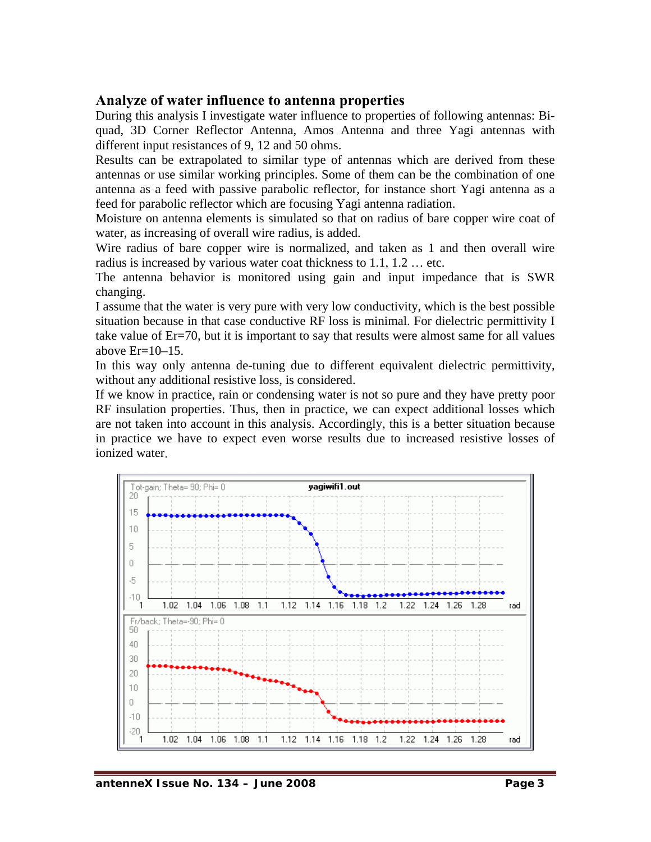### **Analyze of water influence to antenna properties**

During this analysis I investigate water influence to properties of following antennas: Biquad, 3D Corner Reflector Antenna, Amos Antenna and three Yagi antennas with different input resistances of 9, 12 and 50 ohms.

Results can be extrapolated to similar type of antennas which are derived from these antennas or use similar working principles. Some of them can be the combination of one antenna as a feed with passive parabolic reflector, for instance short Yagi antenna as a feed for parabolic reflector which are focusing Yagi antenna radiation.

Moisture on antenna elements is simulated so that on radius of bare copper wire coat of water, as increasing of overall wire radius, is added.

Wire radius of bare copper wire is normalized, and taken as 1 and then overall wire radius is increased by various water coat thickness to 1.1, 1.2 … etc.

The antenna behavior is monitored using gain and input impedance that is SWR changing.

I assume that the water is very pure with very low conductivity, which is the best possible situation because in that case conductive RF loss is minimal. For dielectric permittivity I take value of Er=70, but it is important to say that results were almost same for all values above  $Er=10-15$ .

In this way only antenna de-tuning due to different equivalent dielectric permittivity, without any additional resistive loss, is considered.

If we know in practice, rain or condensing water is not so pure and they have pretty poor RF insulation properties. Thus, then in practice, we can expect additional losses which are not taken into account in this analysis. Accordingly, this is a better situation because in practice we have to expect even worse results due to increased resistive losses of ionized water.

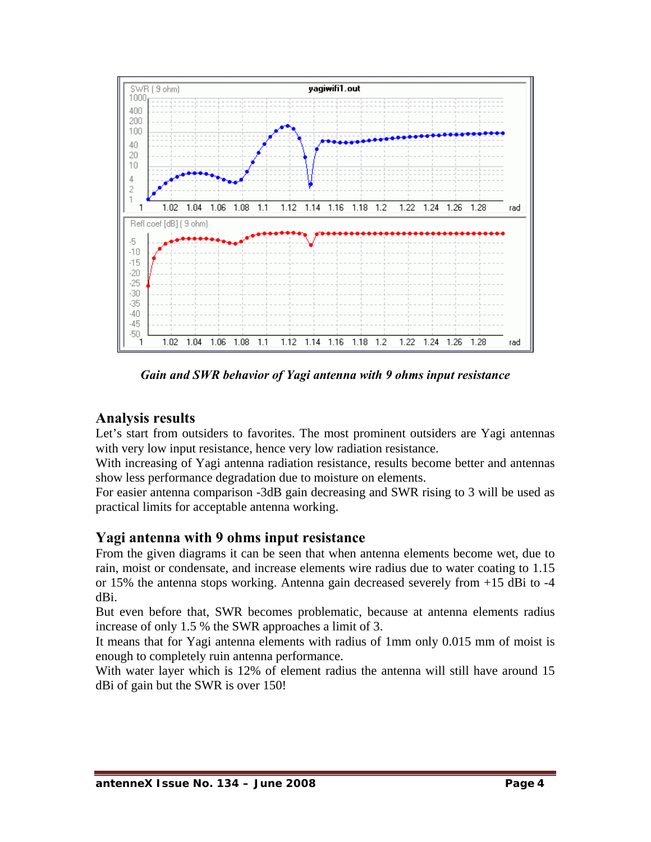

*Gain and SWR behavior of Yagi antenna with 9 ohms input resistance* 

## **Analysis results**

Let's start from outsiders to favorites. The most prominent outsiders are Yagi antennas with very low input resistance, hence very low radiation resistance.

With increasing of Yagi antenna radiation resistance, results become better and antennas show less performance degradation due to moisture on elements.

For easier antenna comparison -3dB gain decreasing and SWR rising to 3 will be used as practical limits for acceptable antenna working.

### **Yagi antenna with 9 ohms input resistance**

From the given diagrams it can be seen that when antenna elements become wet, due to rain, moist or condensate, and increase elements wire radius due to water coating to 1.15 or 15% the antenna stops working. Antenna gain decreased severely from +15 dBi to -4 dBi.

But even before that, SWR becomes problematic, because at antenna elements radius increase of only 1.5 % the SWR approaches a limit of 3.

It means that for Yagi antenna elements with radius of 1mm only 0.015 mm of moist is enough to completely ruin antenna performance.

With water layer which is 12% of element radius the antenna will still have around 15 dBi of gain but the SWR is over 150!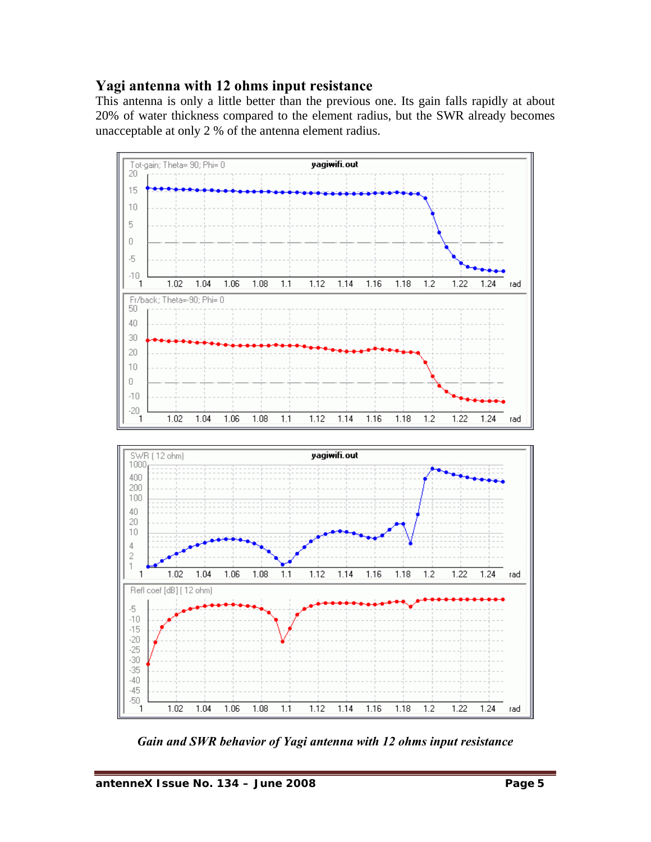### **Yagi antenna with 12 ohms input resistance**

This antenna is only a little better than the previous one. Its gain falls rapidly at about 20% of water thickness compared to the element radius, but the SWR already becomes unacceptable at only 2 % of the antenna element radius.



*Gain and SWR behavior of Yagi antenna with 12 ohms input resistance*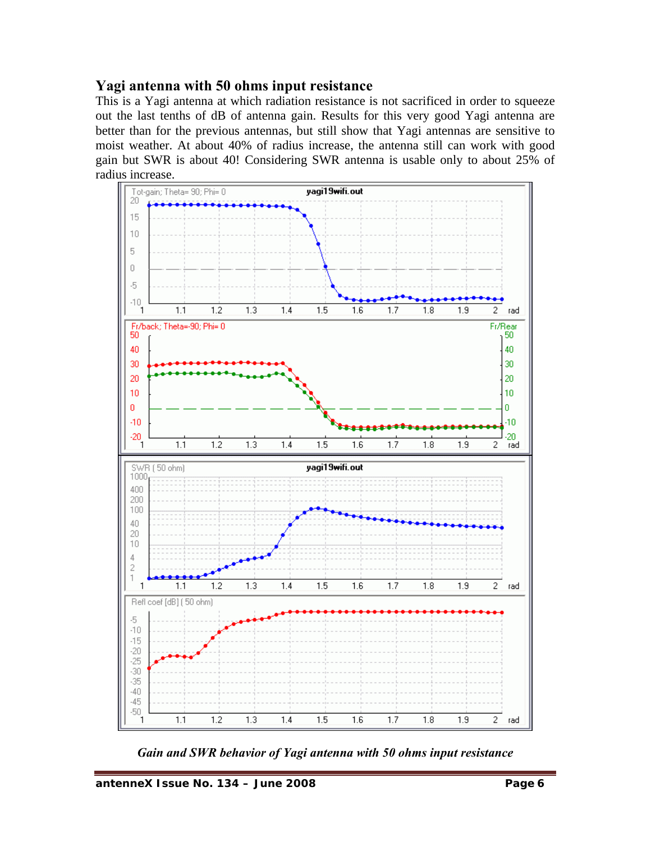### **Yagi antenna with 50 ohms input resistance**

This is a Yagi antenna at which radiation resistance is not sacrificed in order to squeeze out the last tenths of dB of antenna gain. Results for this very good Yagi antenna are better than for the previous antennas, but still show that Yagi antennas are sensitive to moist weather. At about 40% of radius increase, the antenna still can work with good gain but SWR is about 40! Considering SWR antenna is usable only to about 25% of radius increase.



*Gain and SWR behavior of Yagi antenna with 50 ohms input resistance*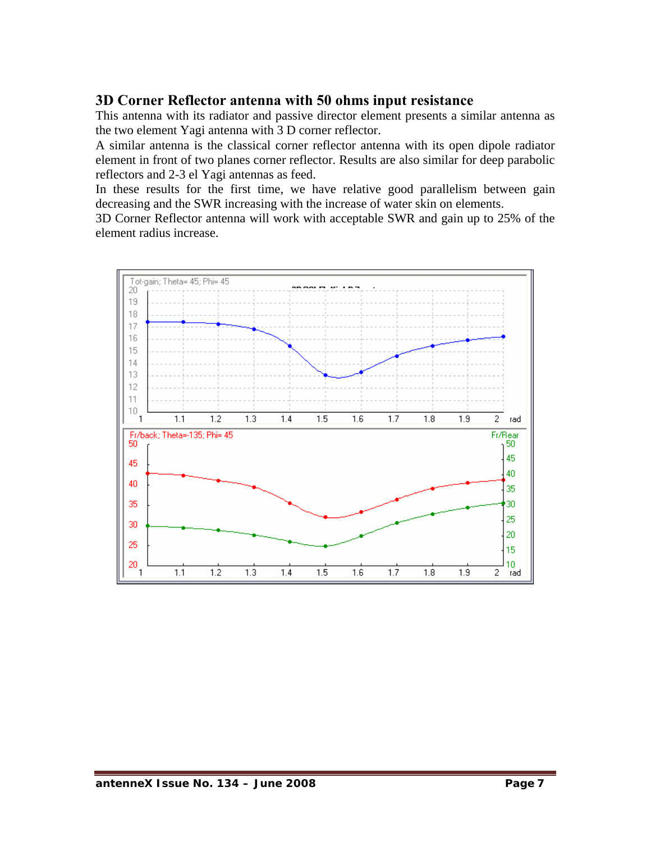## **3D Corner Reflector antenna with 50 ohms input resistance**

This antenna with its radiator and passive director element presents a similar antenna as the two element Yagi antenna with 3 D corner reflector.

A similar antenna is the classical corner reflector antenna with its open dipole radiator element in front of two planes corner reflector. Results are also similar for deep parabolic reflectors and 2-3 el Yagi antennas as feed.

In these results for the first time, we have relative good parallelism between gain decreasing and the SWR increasing with the increase of water skin on elements.

3D Corner Reflector antenna will work with acceptable SWR and gain up to 25% of the element radius increase.

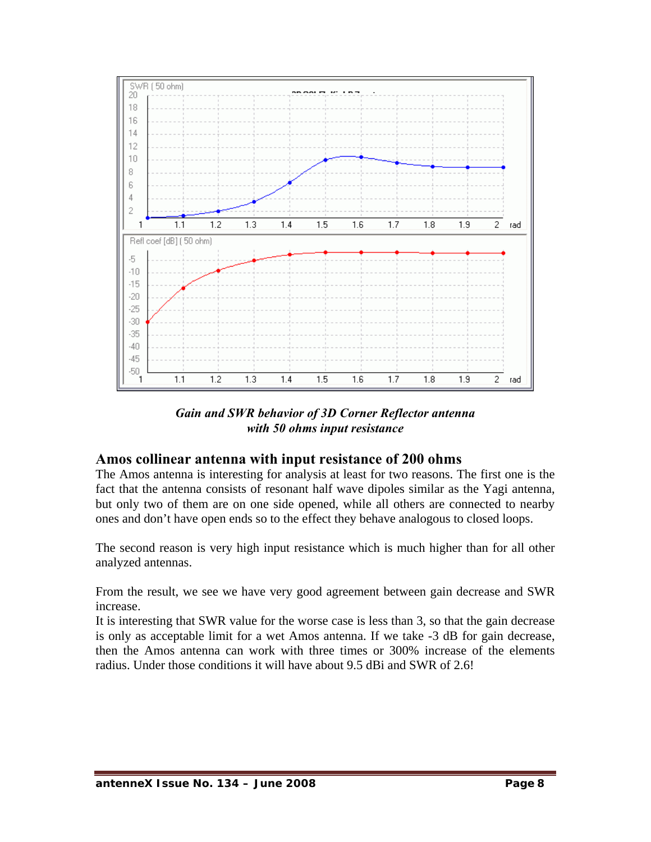

*Gain and SWR behavior of 3D Corner Reflector antenna with 50 ohms input resistance* 

### **Amos collinear antenna with input resistance of 200 ohms**

The Amos antenna is interesting for analysis at least for two reasons. The first one is the fact that the antenna consists of resonant half wave dipoles similar as the Yagi antenna, but only two of them are on one side opened, while all others are connected to nearby ones and don't have open ends so to the effect they behave analogous to closed loops.

The second reason is very high input resistance which is much higher than for all other analyzed antennas.

From the result, we see we have very good agreement between gain decrease and SWR increase.

It is interesting that SWR value for the worse case is less than 3, so that the gain decrease is only as acceptable limit for a wet Amos antenna. If we take -3 dB for gain decrease, then the Amos antenna can work with three times or 300% increase of the elements radius. Under those conditions it will have about 9.5 dBi and SWR of 2.6!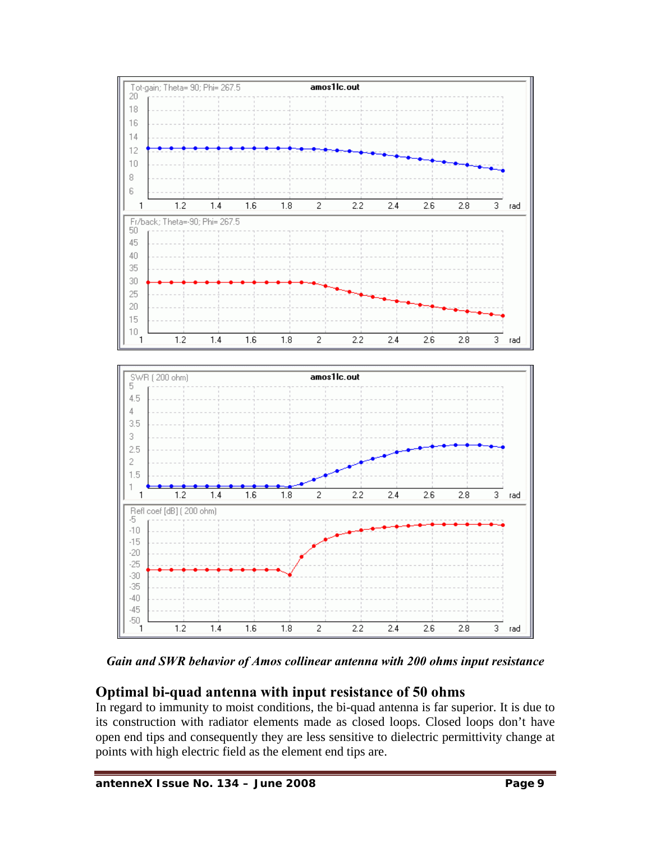

*Gain and SWR behavior of Amos collinear antenna with 200 ohms input resistance* 

# **Optimal bi-quad antenna with input resistance of 50 ohms**

In regard to immunity to moist conditions, the bi-quad antenna is far superior. It is due to its construction with radiator elements made as closed loops. Closed loops don't have open end tips and consequently they are less sensitive to dielectric permittivity change at points with high electric field as the element end tips are.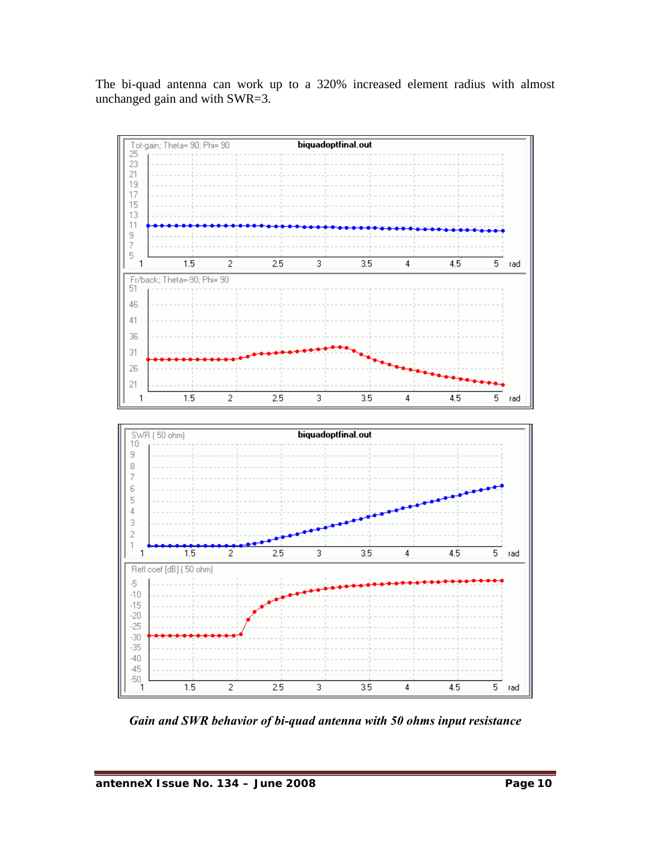The bi-quad antenna can work up to a 320% increased element radius with almost unchanged gain and with SWR=3.



*Gain and SWR behavior of bi-quad antenna with 50 ohms input resistance*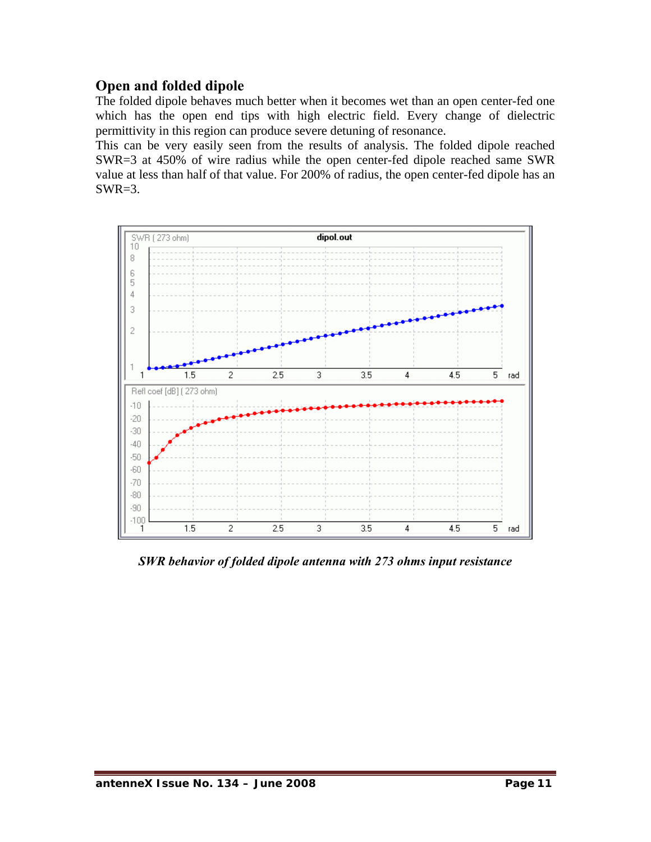## **Open and folded dipole**

The folded dipole behaves much better when it becomes wet than an open center-fed one which has the open end tips with high electric field. Every change of dielectric permittivity in this region can produce severe detuning of resonance.

This can be very easily seen from the results of analysis. The folded dipole reached SWR=3 at 450% of wire radius while the open center-fed dipole reached same SWR value at less than half of that value. For 200% of radius, the open center-fed dipole has an  $SWR=3$ .



*SWR behavior of folded dipole antenna with 273 ohms input resistance*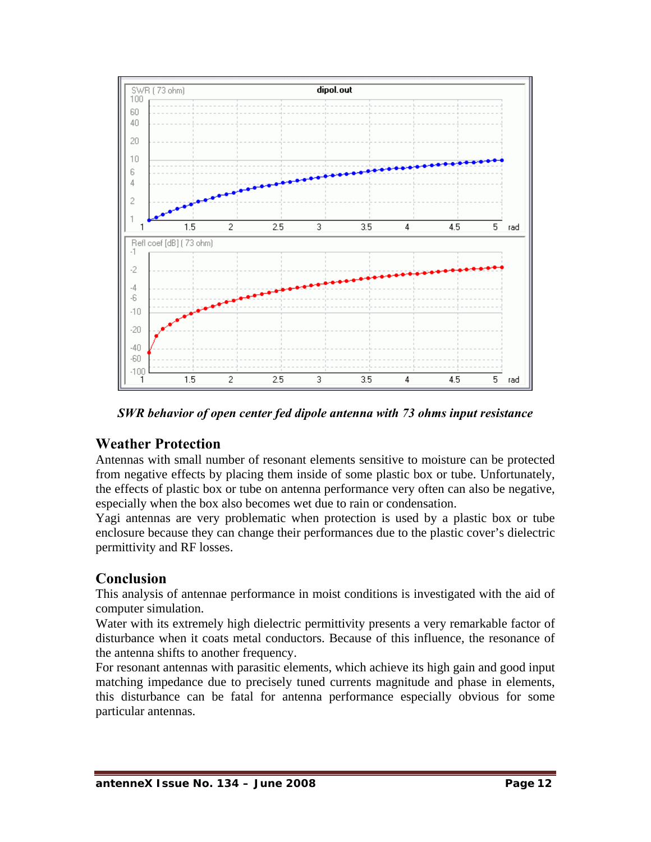

*SWR behavior of open center fed dipole antenna with 73 ohms input resistance* 

# **Weather Protection**

Antennas with small number of resonant elements sensitive to moisture can be protected from negative effects by placing them inside of some plastic box or tube. Unfortunately, the effects of plastic box or tube on antenna performance very often can also be negative, especially when the box also becomes wet due to rain or condensation.

Yagi antennas are very problematic when protection is used by a plastic box or tube enclosure because they can change their performances due to the plastic cover's dielectric permittivity and RF losses.

# **Conclusion**

This analysis of antennae performance in moist conditions is investigated with the aid of computer simulation.

Water with its extremely high dielectric permittivity presents a very remarkable factor of disturbance when it coats metal conductors. Because of this influence, the resonance of the antenna shifts to another frequency.

For resonant antennas with parasitic elements, which achieve its high gain and good input matching impedance due to precisely tuned currents magnitude and phase in elements, this disturbance can be fatal for antenna performance especially obvious for some particular antennas.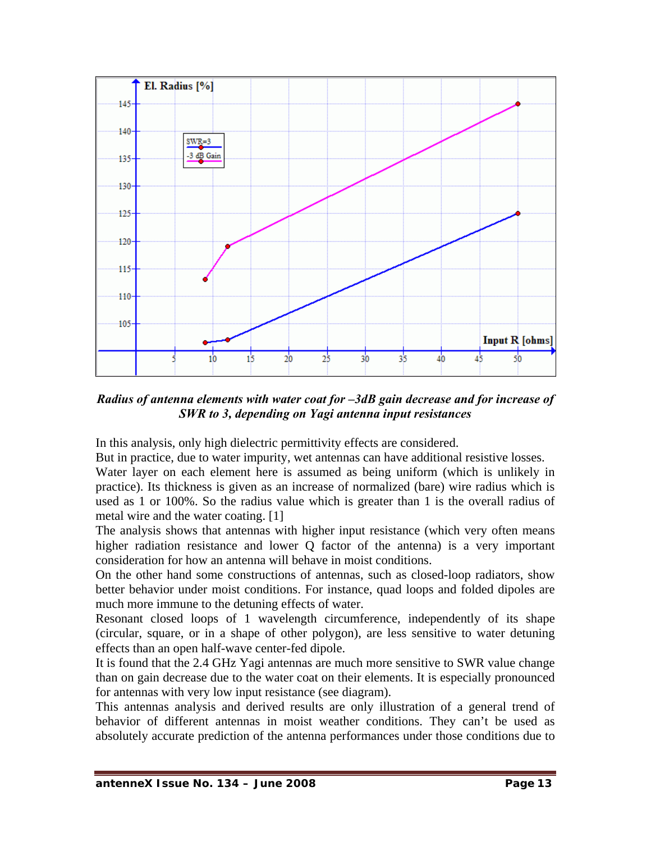

*Radius of antenna elements with water coat for –3dB gain decrease and for increase of SWR to 3, depending on Yagi antenna input resistances* 

In this analysis, only high dielectric permittivity effects are considered.

But in practice, due to water impurity, wet antennas can have additional resistive losses.

Water layer on each element here is assumed as being uniform (which is unlikely in practice). Its thickness is given as an increase of normalized (bare) wire radius which is used as 1 or 100%. So the radius value which is greater than 1 is the overall radius of metal wire and the water coating. [1]

The analysis shows that antennas with higher input resistance (which very often means higher radiation resistance and lower Q factor of the antenna) is a very important consideration for how an antenna will behave in moist conditions.

On the other hand some constructions of antennas, such as closed-loop radiators, show better behavior under moist conditions. For instance, quad loops and folded dipoles are much more immune to the detuning effects of water.

Resonant closed loops of 1 wavelength circumference, independently of its shape (circular, square, or in a shape of other polygon), are less sensitive to water detuning effects than an open half-wave center-fed dipole.

It is found that the 2.4 GHz Yagi antennas are much more sensitive to SWR value change than on gain decrease due to the water coat on their elements. It is especially pronounced for antennas with very low input resistance (see diagram).

This antennas analysis and derived results are only illustration of a general trend of behavior of different antennas in moist weather conditions. They can't be used as absolutely accurate prediction of the antenna performances under those conditions due to